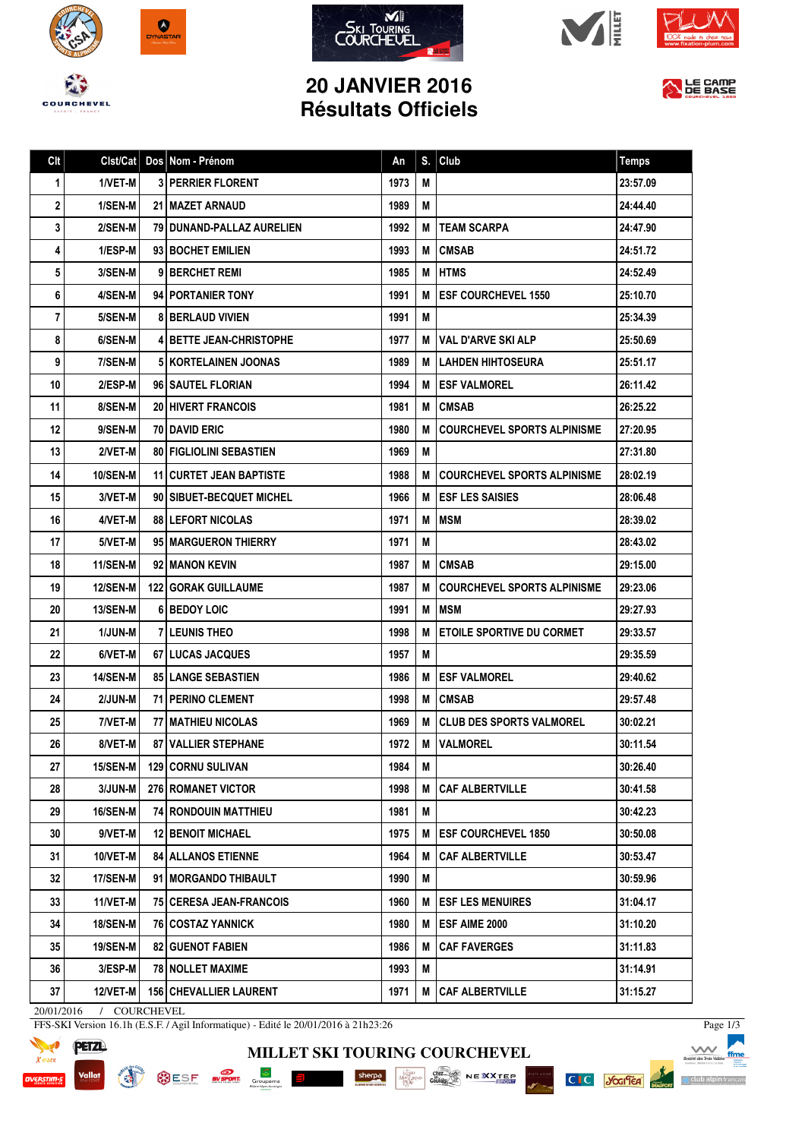









## **20 JANVIER 2016 Résultats Officiels**



| Clt | Clst/Cat        | Dos Nom - Prénom                 | An   | S. | Club                               | <b>Temps</b> |
|-----|-----------------|----------------------------------|------|----|------------------------------------|--------------|
| 1   | 1/VET-M         | <b>3 PERRIER FLORENT</b>         | 1973 | M  |                                    | 23:57.09     |
| 2   | 1/SEN-M         | <b>21 I MAZET ARNAUD</b>         | 1989 | M  |                                    | 24:44.40     |
| 3   | 2/SEN-M         | 79 DUNAND-PALLAZ AURELIEN        | 1992 | М  | <b>TEAM SCARPA</b>                 | 24:47.90     |
| 4   | 1/ESP-M         | 93 BOCHET EMILIEN                | 1993 | М  | <b>CMSAB</b>                       | 24:51.72     |
| 5   | 3/SEN-M         | 9 BERCHET REMI                   | 1985 | M  | <b>I HTMS</b>                      | 24:52.49     |
| 6   | 4/SEN-M         | 94 PORTANIER TONY                | 1991 | М  | <b>ESF COURCHEVEL 1550</b>         | 25:10.70     |
| 7   | 5/SEN-M         | <b>8 BERLAUD VIVIEN</b>          | 1991 | M  |                                    | 25:34.39     |
| 8   | 6/SEN-M         | <b>4 BETTE JEAN-CHRISTOPHE</b>   | 1977 | M  | <b>VAL D'ARVE SKI ALP</b>          | 25:50.69     |
| 9   | 7/SEN-M         | 5   KORTELAINEN JOONAS           | 1989 | м  | <b>I LAHDEN HIHTOSEURA</b>         | 25:51.17     |
| 10  | 2/ESP-M         | 96 SAUTEL FLORIAN                | 1994 | М  | <b>I ESF VALMOREL</b>              | 26:11.42     |
| 11  | 8/SEN-M         | <b>20 HIVERT FRANCOIS</b>        | 1981 | м  | <b>CMSAB</b>                       | 26:25.22     |
| 12  | 9/SEN-M         | <b>70 DAVID ERIC</b>             | 1980 | М  | <b>COURCHEVEL SPORTS ALPINISME</b> | 27:20.95     |
| 13  | 2/VET-M         | <b>80   FIGLIOLINI SEBASTIEN</b> | 1969 | M  |                                    | 27:31.80     |
| 14  | <b>10/SEN-M</b> | <b>11 CURTET JEAN BAPTISTE</b>   | 1988 | М  | <b>COURCHEVEL SPORTS ALPINISME</b> | 28:02.19     |
| 15  | 3/VET-M         | 90   SIBUET-BECQUET MICHEL       | 1966 | М  | <b>IESF LES SAISIES</b>            | 28:06.48     |
| 16  | 4/VET-M         | <b>88 LEFORT NICOLAS</b>         | 1971 | M  | <b>MSM</b>                         | 28:39.02     |
| 17  | 5/VET-M         | 95 MARGUERON THIERRY             | 1971 | M  |                                    | 28:43.02     |
| 18  | 11/SEN-M        | 92 I MANON KEVIN                 | 1987 | М  | <b>CMSAB</b>                       | 29:15.00     |
| 19  | <b>12/SEN-M</b> | <b>122 GORAK GUILLAUME</b>       | 1987 | М  | COURCHEVEL SPORTS ALPINISME        | 29:23.06     |
| 20  | <b>13/SEN-M</b> | <b>61 BEDOY LOIC</b>             | 1991 | M  | <b>IMSM</b>                        | 29:27.93     |
| 21  | <b>1/JUN-M</b>  | <b>7 I LEUNIS THEO</b>           | 1998 | M  | <b>ETOILE SPORTIVE DU CORMET</b>   | 29:33.57     |
| 22  | 6/VET-M         | <b>67 LUCAS JACQUES</b>          | 1957 | M  |                                    | 29:35.59     |
| 23  | <b>14/SEN-M</b> | <b>85 LANGE SEBASTIEN</b>        | 1986 | М  | <b>IESF VALMOREL</b>               | 29:40.62     |
| 24  | 2/JUN-M         | <b>71 PERINO CLEMENT</b>         | 1998 | M  | <b>ICMSAB</b>                      | 29:57.48     |
| 25  | 7/VET-M         | 77 MATHIEU NICOLAS               | 1969 | М  | <b>CLUB DES SPORTS VALMOREL</b>    | 30:02.21     |
| 26  | 8/VET-M         | 87 VALLIER STEPHANE              | 1972 | M  | <b> VALMOREL</b>                   | 30:11.54     |
| 27  | <b>15/SEN-M</b> | <b>129 CORNU SULIVAN</b>         | 1984 | M  |                                    | 30:26.40     |
| 28  | 3/JUN-M         | 276 ROMANET VICTOR               | 1998 | M  | <b>CAF ALBERTVILLE</b>             | 30:41.58     |
| 29  | 16/SEN-M        | 74 RONDOUIN MATTHIEU             | 1981 | M  |                                    | 30:42.23     |
| 30  | 9/VET-M         | <b>12 BENOIT MICHAEL</b>         | 1975 | M  | <b>ESF COURCHEVEL 1850</b>         | 30:50.08     |
| 31  | 10/VET-M        | <b>84 ALLANOS ETIENNE</b>        | 1964 | M  | <b>CAF ALBERTVILLE</b>             | 30:53.47     |
| 32  | 17/SEN-M        | 91 I MORGANDO THIBAULT           | 1990 | Μ  |                                    | 30:59.96     |
| 33  | 11/VET-M        | <b>75   CERESA JEAN-FRANCOIS</b> | 1960 | M  | <b>ESF LES MENUIRES</b>            | 31:04.17     |
| 34  | 18/SEN-M        | <b>76   COSTAZ YANNICK</b>       | 1980 | M  | <b>ESF AIME 2000</b>               | 31:10.20     |
| 35  | 19/SEN-M        | <b>82   GUENOT FABIEN</b>        | 1986 | M  | <b>CAF FAVERGES</b>                | 31:11.83     |
| 36  | 3/ESP-M         | <b>78 NOLLET MAXIME</b>          | 1993 | M  |                                    | 31:14.91     |
| 37  | 12/VET-M        | <b>156   CHEVALLIER LAURENT</b>  | 1971 |    | <b>M   CAF ALBERTVILLE</b>         | 31:15.27     |

20/01/2016 / COURCHEVEL

FFS-SKI Version 16.1h (E.S.F. / Agil Informatique) - Edité le 20/01/2016 à 21h23:26





**MILLET SKI TOURING COURCHEVEL**

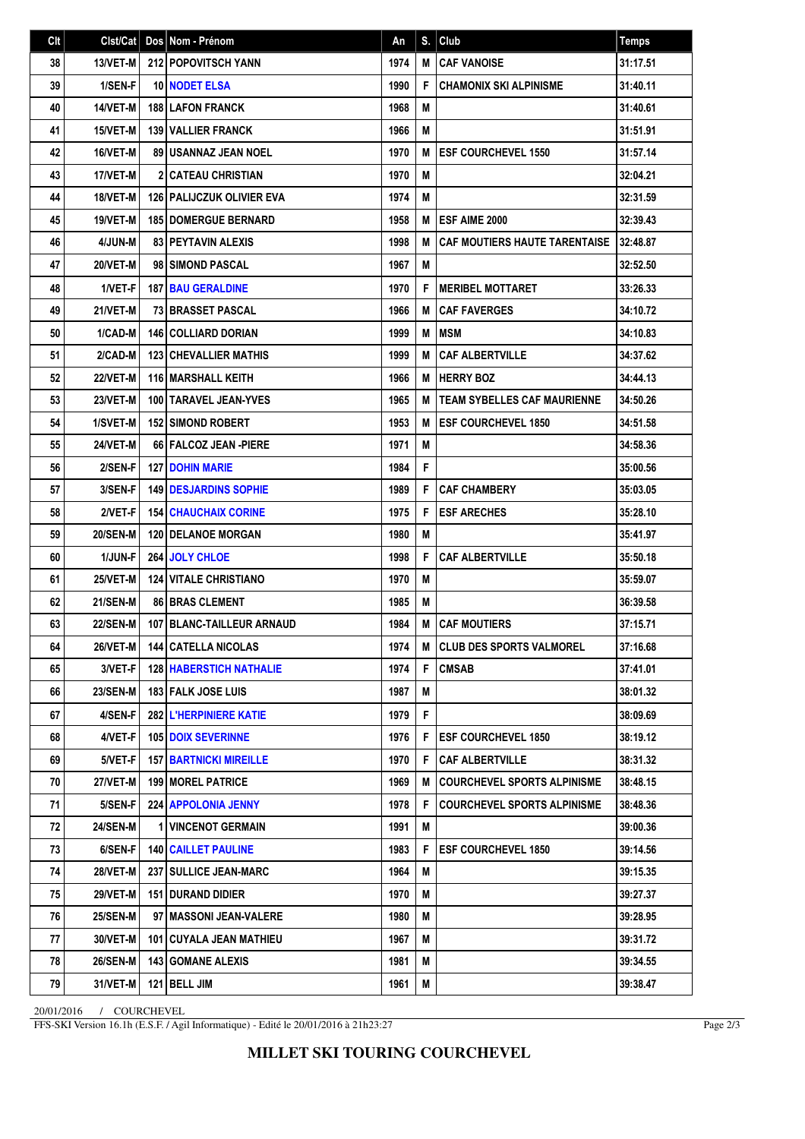| Clt | Clst/Cat        | Dos Nom - Prénom                   | An   | S. | Club                                 | Temps    |
|-----|-----------------|------------------------------------|------|----|--------------------------------------|----------|
| 38  | 13/VET-M        | 212 POPOVITSCH YANN                | 1974 | M  | <b>CAF VANOISE</b>                   | 31:17.51 |
| 39  | 1/SEN-F         | <b>10 NODET ELSA</b>               | 1990 | F  | <b>CHAMONIX SKI ALPINISME</b>        | 31:40.11 |
| 40  | 14/VET-M        | <b>188 LAFON FRANCK</b>            | 1968 | M  |                                      | 31:40.61 |
| 41  | 15/VET-M        | 139 VALLIER FRANCK                 | 1966 | M  |                                      | 31:51.91 |
| 42  | 16/VET-M        | <b>89   USANNAZ JEAN NOEL</b>      | 1970 | M  | <b>ESF COURCHEVEL 1550</b>           | 31:57.14 |
| 43  | 17/VET-M        | <b>2 CATEAU CHRISTIAN</b>          | 1970 | M  |                                      | 32:04.21 |
| 44  | 18/VET-M        | <b>126   PALIJCZUK OLIVIER EVA</b> | 1974 | M  |                                      | 32:31.59 |
| 45  | 19/VET-M        | <b>185 DOMERGUE BERNARD</b>        | 1958 | M  | <b>IESF AIME 2000</b>                | 32:39.43 |
| 46  | 4/JUN-M         | <b>83 PEYTAVIN ALEXIS</b>          | 1998 | M  | <b>CAF MOUTIERS HAUTE TARENTAISE</b> | 32:48.87 |
| 47  | 20/VET-M        | 98 SIMOND PASCAL                   | 1967 | M  |                                      | 32:52.50 |
| 48  | 1/VET-F         | <b>187 BAU GERALDINE</b>           | 1970 | F  | <b>MERIBEL MOTTARET</b>              | 33:26.33 |
| 49  | 21/VET-M        | <b>73 BRASSET PASCAL</b>           | 1966 | M  | <b>CAF FAVERGES</b>                  | 34:10.72 |
| 50  | 1/CAD-M         | <b>146 COLLIARD DORIAN</b>         | 1999 | M  | <b>MSM</b>                           | 34:10.83 |
| 51  | 2/CAD-M         | <b>123 CHEVALLIER MATHIS</b>       | 1999 | M  | <b>CAF ALBERTVILLE</b>               | 34:37.62 |
| 52  | 22/VET-M        | <b>116 MARSHALL KEITH</b>          | 1966 | M  | <b>HERRY BOZ</b>                     | 34:44.13 |
| 53  | <b>23/VET-M</b> | 100   TARAVEL JEAN-YVES            | 1965 | M  | <b>TEAM SYBELLES CAF MAURIENNE</b>   | 34:50.26 |
| 54  | 1/SVET-M        | <b>152 SIMOND ROBERT</b>           | 1953 | M  | <b>ESF COURCHEVEL 1850</b>           | 34:51.58 |
| 55  | 24/VET-M        | 66 FALCOZ JEAN -PIERE              | 1971 | M  |                                      | 34:58.36 |
| 56  | 2/SEN-F         | <b>127 DOHIN MARIE</b>             | 1984 | F  |                                      | 35:00.56 |
| 57  | 3/SEN-F         | <b>149 I DESJARDINS SOPHIE</b>     | 1989 | F  | <b>CAF CHAMBERY</b>                  | 35:03.05 |
| 58  | 2/VET-F         | <b>154   CHAUCHAIX CORINE</b>      | 1975 | F  | <b>ESF ARECHES</b>                   | 35:28.10 |
| 59  | <b>20/SEN-M</b> | <b>120 I DELANOE MORGAN</b>        | 1980 | M  |                                      | 35:41.97 |
| 60  | 1/JUN-F         | 264 JOLY CHLOE                     | 1998 | F  | <b>CAF ALBERTVILLE</b>               | 35:50.18 |
| 61  | 25/VET-M        | <b>124   VITALE CHRISTIANO</b>     | 1970 | M  |                                      | 35:59.07 |
| 62  | <b>21/SEN-M</b> | <b>86 BRAS CLEMENT</b>             | 1985 | M  |                                      | 36:39.58 |
| 63  | <b>22/SEN-M</b> | 107 BLANC-TAILLEUR ARNAUD          | 1984 | M  | <b>CAF MOUTIERS</b>                  | 37:15.71 |
| 64  | 26/VET-M        | 144 CATELLA NICOLAS                | 1974 |    | M CLUB DES SPORTS VALMOREL           | 37:16.68 |
| 65  | 3/VET-F         | <b>128   HABERSTICH NATHALIE</b>   | 1974 | F  | <b>CMSAB</b>                         | 37:41.01 |
| 66  | <b>23/SEN-M</b> | 183 FALK JOSE LUIS                 | 1987 | M  |                                      | 38:01.32 |
| 67  | 4/SEN-F         | 282 L'HERPINIERE KATIE             | 1979 | F  |                                      | 38:09.69 |
| 68  | 4/VET-F         | <b>105 DOIX SEVERINNE</b>          | 1976 | F. | <b>IESF COURCHEVEL 1850</b>          | 38:19.12 |
| 69  | 5/VET-F         | <b>157   BARTNICKI MIREILLE</b>    | 1970 | F  | <b>CAF ALBERTVILLE</b>               | 38:31.32 |
| 70  | 27/VET-M        | <b>199   MOREL PATRICE</b>         | 1969 | M  | COURCHEVEL SPORTS ALPINISME          | 38:48.15 |
| 71  | 5/SEN-F         | 224 APPOLONIA JENNY                | 1978 | F  | <b>COURCHEVEL SPORTS ALPINISME</b>   | 38:48.36 |
| 72  | <b>24/SEN-M</b> | <b>1 VINCENOT GERMAIN</b>          | 1991 | M  |                                      | 39:00.36 |
| 73  | 6/SEN-F         | <b>140 CAILLET PAULINE</b>         | 1983 | F  | <b>ESF COURCHEVEL 1850</b>           | 39:14.56 |
| 74  | <b>28/VET-M</b> | <b>237   SULLICE JEAN-MARC</b>     | 1964 | M  |                                      | 39:15.35 |
| 75  | 29/VET-M        | 151 DURAND DIDIER                  | 1970 | М  |                                      | 39:27.37 |
| 76  | <b>25/SEN-M</b> | 97 MASSONI JEAN-VALERE             | 1980 | М  |                                      | 39:28.95 |
| 77  | 30/VET-M        | 101   CUYALA JEAN MATHIEU          | 1967 | М  |                                      | 39:31.72 |
| 78  | <b>26/SEN-M</b> | <b>143   GOMANE ALEXIS</b>         | 1981 | M  |                                      | 39:34.55 |
| 79  | 31/VET-M        | 121 BELL JIM                       | 1961 | M  |                                      | 39:38.47 |

20/01/2016 / COURCHEVEL

FFS-SKI Version 16.1h (E.S.F. / Agil Informatique) - Edité le 20/01/2016 à 21h23:27

Page 2/3